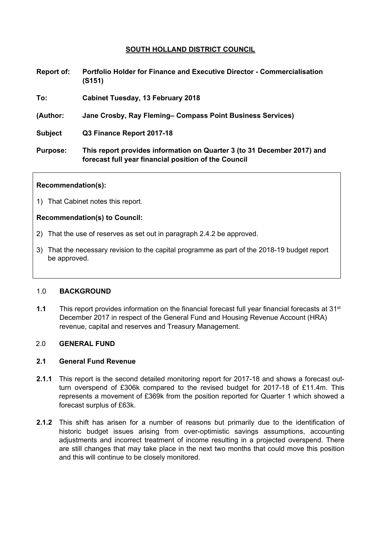# **SOUTH HOLLAND DISTRICT COUNCIL**

| <b>Report of:</b> | <b>Portfolio Holder for Finance and Executive Director - Commercialisation</b> |
|-------------------|--------------------------------------------------------------------------------|
|                   | (S151)                                                                         |

**To: Cabinet Tuesday, 13 February 2018**

**(Author: Jane Crosby, Ray Fleming– Compass Point Business Services)**

**Subject Q3 Finance Report 2017-18**

**Purpose: This report provides information on Quarter 3 (to 31 December 2017) and forecast full year financial position of the Council**

#### **Recommendation(s):**

1) That Cabinet notes this report.

#### **Recommendation(s) to Council:**

- 2) That the use of reserves as set out in paragraph 2.4.2 be approved.
- 3) That the necessary revision to the capital programme as part of the 2018-19 budget report be approved.

#### 1.0 **BACKGROUND**

**1.1** This report provides information on the financial forecast full year financial forecasts at 31st December 2017 in respect of the General Fund and Housing Revenue Account (HRA) revenue, capital and reserves and Treasury Management.

#### 2.0 **GENERAL FUND**

### **2.1 General Fund Revenue**

- **2.1.1** This report is the second detailed monitoring report for 2017-18 and shows a forecast outturn overspend of £306k compared to the revised budget for 2017-18 of £11.4m. This represents a movement of £369k from the position reported for Quarter 1 which showed a forecast surplus of £63k.
- **2.1.2** This shift has arisen for a number of reasons but primarily due to the identification of historic budget issues arising from over-optimistic savings assumptions, accounting adjustments and incorrect treatment of income resulting in a projected overspend. There are still changes that may take place in the next two months that could move this position and this will continue to be closely monitored.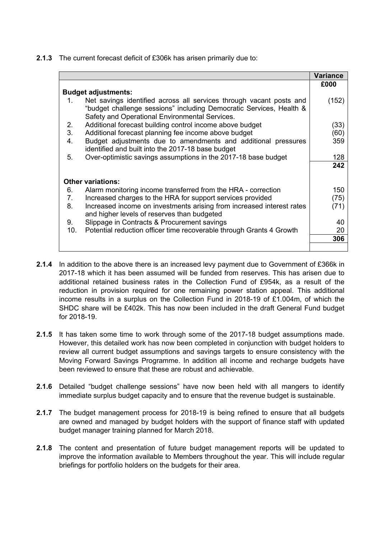**2.1.3** The current forecast deficit of £306k has arisen primarily due to:

|     |                                                                                                                                                                                              | Variance |
|-----|----------------------------------------------------------------------------------------------------------------------------------------------------------------------------------------------|----------|
|     |                                                                                                                                                                                              | £000     |
|     | <b>Budget adjustments:</b>                                                                                                                                                                   |          |
| 1.  | Net savings identified across all services through vacant posts and<br>"budget challenge sessions" including Democratic Services, Health &<br>Safety and Operational Environmental Services. | (152)    |
| 2.  | Additional forecast building control income above budget                                                                                                                                     | (33)     |
| 3.  | Additional forecast planning fee income above budget                                                                                                                                         | (60)     |
| 4.  | Budget adjustments due to amendments and additional pressures<br>identified and built into the 2017-18 base budget                                                                           | 359      |
| 5.  | Over-optimistic savings assumptions in the 2017-18 base budget                                                                                                                               | 128      |
|     |                                                                                                                                                                                              | 242      |
|     | <b>Other variations:</b>                                                                                                                                                                     |          |
| 6.  | Alarm monitoring income transferred from the HRA - correction                                                                                                                                | 150      |
| 7.  | Increased charges to the HRA for support services provided                                                                                                                                   | (75)     |
| 8.  | Increased income on investments arising from increased interest rates<br>and higher levels of reserves than budgeted                                                                         | (71)     |
| 9.  | Slippage in Contracts & Procurement savings                                                                                                                                                  | 40       |
| 10. | Potential reduction officer time recoverable through Grants 4 Growth                                                                                                                         | 20       |
|     |                                                                                                                                                                                              | 306      |
|     |                                                                                                                                                                                              |          |

- **2.1.4** In addition to the above there is an increased levy payment due to Government of £366k in 2017-18 which it has been assumed will be funded from reserves. This has arisen due to additional retained business rates in the Collection Fund of £954k, as a result of the reduction in provision required for one remaining power station appeal. This additional income results in a surplus on the Collection Fund in 2018-19 of £1.004m, of which the SHDC share will be £402k. This has now been included in the draft General Fund budget for 2018-19.
- **2.1.5** It has taken some time to work through some of the 2017-18 budget assumptions made. However, this detailed work has now been completed in conjunction with budget holders to review all current budget assumptions and savings targets to ensure consistency with the Moving Forward Savings Programme. In addition all income and recharge budgets have been reviewed to ensure that these are robust and achievable.
- **2.1.6** Detailed "budget challenge sessions" have now been held with all mangers to identify immediate surplus budget capacity and to ensure that the revenue budget is sustainable.
- **2.1.7** The budget management process for 2018-19 is being refined to ensure that all budgets are owned and managed by budget holders with the support of finance staff with updated budget manager training planned for March 2018.
- **2.1.8** The content and presentation of future budget management reports will be updated to improve the information available to Members throughout the year. This will include regular briefings for portfolio holders on the budgets for their area.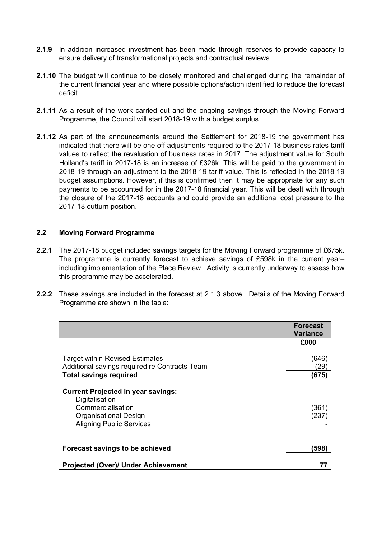- **2.1.9** In addition increased investment has been made through reserves to provide capacity to ensure delivery of transformational projects and contractual reviews.
- **2.1.10** The budget will continue to be closely monitored and challenged during the remainder of the current financial year and where possible options/action identified to reduce the forecast deficit.
- **2.1.11** As a result of the work carried out and the ongoing savings through the Moving Forward Programme, the Council will start 2018-19 with a budget surplus.
- **2.1.12** As part of the announcements around the Settlement for 2018-19 the government has indicated that there will be one off adjustments required to the 2017-18 business rates tariff values to reflect the revaluation of business rates in 2017. The adjustment value for South Holland's tariff in 2017-18 is an increase of £326k. This will be paid to the government in 2018-19 through an adjustment to the 2018-19 tariff value. This is reflected in the 2018-19 budget assumptions. However, if this is confirmed then it may be appropriate for any such payments to be accounted for in the 2017-18 financial year. This will be dealt with through the closure of the 2017-18 accounts and could provide an additional cost pressure to the 2017-18 outturn position.

# **2.2 Moving Forward Programme**

- **2.2.1** The 2017-18 budget included savings targets for the Moving Forward programme of £675k. The programme is currently forecast to achieve savings of £598k in the current year– including implementation of the Place Review. Activity is currently underway to assess how this programme may be accelerated.
- **2.2.2** These savings are included in the forecast at 2.1.3 above. Details of the Moving Forward Programme are shown in the table:

|                                                                                                                          | <b>Forecast</b><br>Variance          |
|--------------------------------------------------------------------------------------------------------------------------|--------------------------------------|
|                                                                                                                          | £000                                 |
| <b>Target within Revised Estimates</b><br>Additional savings required re Contracts Team<br><b>Total savings required</b> | (646)<br>$\left( 29\right)$<br>(675) |
| <b>Current Projected in year savings:</b>                                                                                |                                      |
| Digitalisation                                                                                                           |                                      |
| Commercialisation                                                                                                        | (361)                                |
| Organisational Design                                                                                                    | (237)                                |
| <b>Aligning Public Services</b>                                                                                          |                                      |
|                                                                                                                          |                                      |
| Forecast savings to be achieved                                                                                          | (598)                                |
| <b>Projected (Over)/ Under Achievement</b>                                                                               | 77                                   |
|                                                                                                                          |                                      |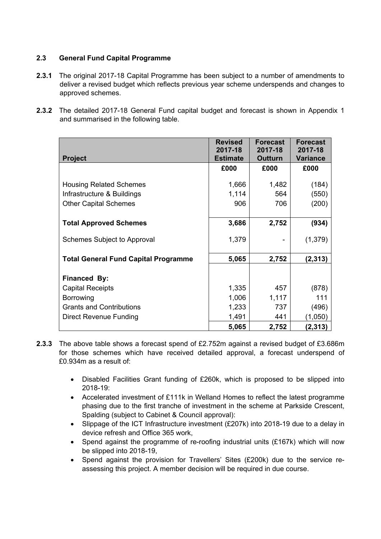# **2.3 General Fund Capital Programme**

- **2.3.1** The original 2017-18 Capital Programme has been subject to a number of amendments to deliver a revised budget which reflects previous year scheme underspends and changes to approved schemes.
- **2.3.2** The detailed 2017-18 General Fund capital budget and forecast is shown in Appendix 1 and summarised in the following table.

|                                             | <b>Revised</b><br>2017-18 | <b>Forecast</b><br>2017-18 | <b>Forecast</b><br>2017-18 |
|---------------------------------------------|---------------------------|----------------------------|----------------------------|
| <b>Project</b>                              | <b>Estimate</b>           | <b>Outturn</b>             | <b>Variance</b>            |
|                                             | £000                      | £000                       | £000                       |
| <b>Housing Related Schemes</b>              | 1,666                     | 1,482                      | (184)                      |
| Infrastructure & Buildings                  | 1,114                     | 564                        | (550)                      |
|                                             |                           |                            |                            |
| <b>Other Capital Schemes</b>                | 906                       | 706                        | (200)                      |
|                                             |                           |                            |                            |
| <b>Total Approved Schemes</b>               | 3,686                     | 2,752                      | (934)                      |
| Schemes Subject to Approval                 | 1,379                     |                            | (1, 379)                   |
|                                             |                           |                            |                            |
| <b>Total General Fund Capital Programme</b> | 5,065                     | 2,752                      | (2,313)                    |
|                                             |                           |                            |                            |
| Financed By:                                |                           |                            |                            |
| <b>Capital Receipts</b>                     | 1,335                     | 457                        | (878)                      |
| Borrowing                                   | 1,006                     | 1,117                      | 111                        |
| <b>Grants and Contributions</b>             | 1,233                     | 737                        | (496)                      |
| Direct Revenue Funding                      | 1,491                     | 441                        | (1,050)                    |
|                                             | 5,065                     | 2,752                      | (2,313)                    |

- **2.3.3** The above table shows a forecast spend of £2.752m against a revised budget of £3.686m for those schemes which have received detailed approval, a forecast underspend of £0.934m as a result of:
	- Disabled Facilities Grant funding of £260k, which is proposed to be slipped into 2018-19:
	- Accelerated investment of £111k in Welland Homes to reflect the latest programme phasing due to the first tranche of investment in the scheme at Parkside Crescent, Spalding (subject to Cabinet & Council approval):
	- Slippage of the ICT Infrastructure investment (£207k) into 2018-19 due to a delay in device refresh and Office 365 work,
	- Spend against the programme of re-roofing industrial units (£167k) which will now be slipped into 2018-19,
	- Spend against the provision for Travellers' Sites (£200k) due to the service reassessing this project. A member decision will be required in due course.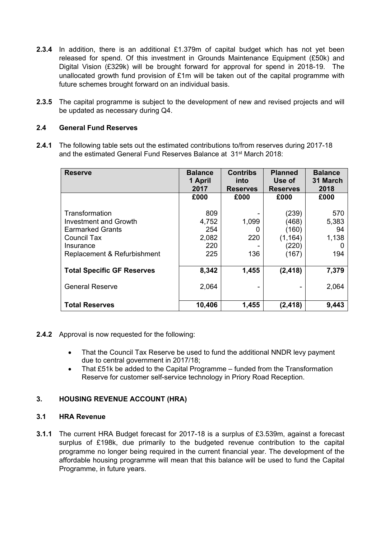- **2.3.4** In addition, there is an additional £1.379m of capital budget which has not yet been released for spend. Of this investment in Grounds Maintenance Equipment (£50k) and Digital Vision (£329k) will be brought forward for approval for spend in 2018-19. The unallocated growth fund provision of £1m will be taken out of the capital programme with future schemes brought forward on an individual basis.
- **2.3.5** The capital programme is subject to the development of new and revised projects and will be updated as necessary during Q4.

### **2.4 General Fund Reserves**

**2.4.1** The following table sets out the estimated contributions to/from reserves during 2017-18 and the estimated General Fund Reserves Balance at 31st March 2018:

| <b>Reserve</b>                                                                                                                | <b>Balance</b><br>1 April<br>2017          | <b>Contribs</b><br>into<br><b>Reserves</b> | <b>Planned</b><br>Use of<br><b>Reserves</b>           | <b>Balance</b><br>31 March<br>2018 |
|-------------------------------------------------------------------------------------------------------------------------------|--------------------------------------------|--------------------------------------------|-------------------------------------------------------|------------------------------------|
|                                                                                                                               | £000                                       | £000                                       | £000                                                  | £000                               |
| Transformation<br>Investment and Growth<br><b>Earmarked Grants</b><br>Council Tax<br>Insurance<br>Replacement & Refurbishment | 809<br>4,752<br>254<br>2,082<br>220<br>225 | 1,099<br>0<br>220<br>136                   | (239)<br>(468)<br>(160)<br>(1, 164)<br>(220)<br>(167) | 570<br>5,383<br>94<br>1,138<br>194 |
| <b>Total Specific GF Reserves</b>                                                                                             | 8,342                                      | 1,455                                      | (2, 418)                                              | 7,379                              |
| <b>General Reserve</b>                                                                                                        | 2,064                                      |                                            |                                                       | 2,064                              |
| <b>Total Reserves</b>                                                                                                         | 10,406                                     | 1,455                                      | (2, 418)                                              | 9,443                              |

### **2.4.2** Approval is now requested for the following:

- That the Council Tax Reserve be used to fund the additional NNDR levy payment due to central government in 2017/18;
- That £51k be added to the Capital Programme funded from the Transformation Reserve for customer self-service technology in Priory Road Reception.

# **3. HOUSING REVENUE ACCOUNT (HRA)**

# **3.1 HRA Revenue**

**3.1.1** The current HRA Budget forecast for 2017-18 is a surplus of £3.539m, against a forecast surplus of £198k, due primarily to the budgeted revenue contribution to the capital programme no longer being required in the current financial year. The development of the affordable housing programme will mean that this balance will be used to fund the Capital Programme, in future years.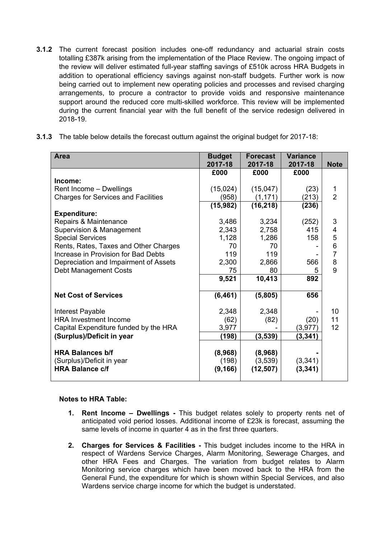- **3.1.2** The current forecast position includes one-off redundancy and actuarial strain costs totalling £387k arising from the implementation of the Place Review. The ongoing impact of the review will deliver estimated full-year staffing savings of £510k across HRA Budgets in addition to operational efficiency savings against non-staff budgets. Further work is now being carried out to implement new operating policies and processes and revised charging arrangements, to procure a contractor to provide voids and responsive maintenance support around the reduced core multi-skilled workforce. This review will be implemented during the current financial year with the full benefit of the service redesign delivered in 2018-19.
- **3.1.3** The table below details the forecast outturn against the original budget for 2017-18:

| <b>Area</b>                                          | <b>Budget</b><br>2017-18 | <b>Forecast</b><br>2017-18 | <b>Variance</b><br>2017-18 | <b>Note</b>    |
|------------------------------------------------------|--------------------------|----------------------------|----------------------------|----------------|
|                                                      | £000                     | £000                       | £000                       |                |
| Income:                                              |                          |                            |                            |                |
| Rent Income - Dwellings                              | (15,024)                 | (15,047)                   | (23)                       | 1              |
| <b>Charges for Services and Facilities</b>           | (958)                    | (1, 171)                   | (213)                      | $\overline{2}$ |
|                                                      | (15,982)                 | (16, 218)                  | (236)                      |                |
| <b>Expenditure:</b>                                  |                          |                            |                            |                |
| Repairs & Maintenance                                | 3,486                    | 3,234                      | (252)                      | 3              |
| Supervision & Management                             | 2,343                    | 2,758                      | 415                        | 4              |
| <b>Special Services</b>                              | 1,128                    | 1,286                      | 158                        | 5              |
| Rents, Rates, Taxes and Other Charges                | 70                       | 70                         |                            | $\frac{6}{7}$  |
| Increase in Provision for Bad Debts                  | 119                      | 119                        |                            |                |
| Depreciation and Impairment of Assets                | 2,300                    | 2,866                      | 566                        | 8              |
| <b>Debt Management Costs</b>                         | 75                       | 80                         | 5                          | 9              |
|                                                      | 9,521                    | 10,413                     | 892                        |                |
| <b>Net Cost of Services</b>                          | (6, 461)                 | (5,805)                    | 656                        |                |
| Interest Payable                                     | 2,348                    | 2,348                      |                            | 10             |
| <b>HRA Investment Income</b>                         | (62)                     | (82)                       | (20)                       | 11             |
| Capital Expenditure funded by the HRA                | 3,977                    |                            | (3, 977)                   | 12             |
| (Surplus)/Deficit in year                            | (198)                    | (3,539)                    | (3, 341)                   |                |
| <b>HRA Balances b/f</b><br>(Surplus)/Deficit in year | (8,968)<br>(198)         | (8,968)<br>(3,539)         | (3,341)                    |                |
| <b>HRA Balance c/f</b>                               | (9, 166)                 | (12, 507)                  | (3, 341)                   |                |

#### **Notes to HRA Table:**

- **1. Rent Income – Dwellings -** This budget relates solely to property rents net of anticipated void period losses. Additional income of £23k is forecast, assuming the same levels of income in quarter 4 as in the first three quarters.
- **2. Charges for Services & Facilities -** This budget includes income to the HRA in respect of Wardens Service Charges, Alarm Monitoring, Sewerage Charges, and other HRA Fees and Charges. The variation from budget relates to Alarm Monitoring service charges which have been moved back to the HRA from the General Fund, the expenditure for which is shown within Special Services, and also Wardens service charge income for which the budget is understated.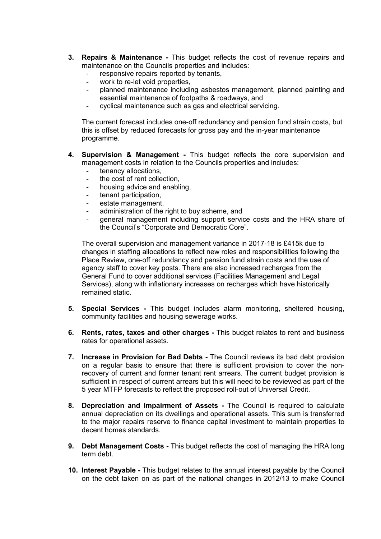- **3. Repairs & Maintenance -** This budget reflects the cost of revenue repairs and maintenance on the Councils properties and includes:
	- responsive repairs reported by tenants,
	- work to re-let void properties,
	- planned maintenance including asbestos management, planned painting and essential maintenance of footpaths & roadways, and
	- cyclical maintenance such as gas and electrical servicing.

The current forecast includes one-off redundancy and pension fund strain costs, but this is offset by reduced forecasts for gross pay and the in-year maintenance programme.

- **4. Supervision & Management -** This budget reflects the core supervision and management costs in relation to the Councils properties and includes:
	- tenancy allocations,
	- the cost of rent collection,
	- housing advice and enabling,
	- tenant participation,
	- estate management,
	- administration of the right to buy scheme, and
	- general management including support service costs and the HRA share of the Council's "Corporate and Democratic Core".

The overall supervision and management variance in 2017-18 is £415k due to changes in staffing allocations to reflect new roles and responsibilities following the Place Review, one-off redundancy and pension fund strain costs and the use of agency staff to cover key posts. There are also increased recharges from the General Fund to cover additional services (Facilities Management and Legal Services), along with inflationary increases on recharges which have historically remained static.

- **5. Special Services -** This budget includes alarm monitoring, sheltered housing, community facilities and housing sewerage works.
- **6. Rents, rates, taxes and other charges -** This budget relates to rent and business rates for operational assets.
- **7. Increase in Provision for Bad Debts -** The Council reviews its bad debt provision on a regular basis to ensure that there is sufficient provision to cover the nonrecovery of current and former tenant rent arrears. The current budget provision is sufficient in respect of current arrears but this will need to be reviewed as part of the 5 year MTFP forecasts to reflect the proposed roll-out of Universal Credit.
- **8. Depreciation and Impairment of Assets -** The Council is required to calculate annual depreciation on its dwellings and operational assets. This sum is transferred to the major repairs reserve to finance capital investment to maintain properties to decent homes standards.
- **9. Debt Management Costs -** This budget reflects the cost of managing the HRA long term debt.
- **10. Interest Payable -** This budget relates to the annual interest payable by the Council on the debt taken on as part of the national changes in 2012/13 to make Council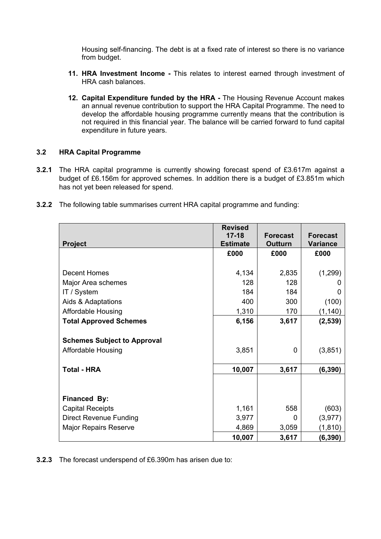Housing self-financing. The debt is at a fixed rate of interest so there is no variance from budget.

- **11. HRA Investment Income -** This relates to interest earned through investment of HRA cash balances.
- **12. Capital Expenditure funded by the HRA -** The Housing Revenue Account makes an annual revenue contribution to support the HRA Capital Programme. The need to develop the affordable housing programme currently means that the contribution is not required in this financial year. The balance will be carried forward to fund capital expenditure in future years.

## **3.2 HRA Capital Programme**

- **3.2.1** The HRA capital programme is currently showing forecast spend of £3.617m against a budget of £6.156m for approved schemes. In addition there is a budget of £3.851m which has not yet been released for spend.
- **3.2.2** The following table summarises current HRA capital programme and funding:

|                                    | <b>Revised</b>  |                 |                 |
|------------------------------------|-----------------|-----------------|-----------------|
|                                    | $17 - 18$       | <b>Forecast</b> | <b>Forecast</b> |
| <b>Project</b>                     | <b>Estimate</b> | <b>Outturn</b>  | <b>Variance</b> |
|                                    | £000            | £000            | £000            |
|                                    |                 |                 |                 |
| <b>Decent Homes</b>                | 4,134           | 2,835           | (1,299)         |
| Major Area schemes                 | 128             | 128             |                 |
| IT / System                        | 184             | 184             |                 |
| Aids & Adaptations                 | 400             | 300             | (100)           |
| <b>Affordable Housing</b>          | 1,310           | 170             | (1, 140)        |
| <b>Total Approved Schemes</b>      | 6,156           | 3,617           | (2, 539)        |
|                                    |                 |                 |                 |
| <b>Schemes Subject to Approval</b> |                 |                 |                 |
| Affordable Housing                 | 3,851           | 0               | (3,851)         |
|                                    |                 |                 |                 |
| <b>Total - HRA</b>                 | 10,007          | 3,617           | (6, 390)        |
|                                    |                 |                 |                 |
|                                    |                 |                 |                 |
| Financed By:                       |                 |                 |                 |
| <b>Capital Receipts</b>            | 1,161           | 558             | (603)           |
| Direct Revenue Funding             | 3,977           | 0               | (3, 977)        |
| <b>Major Repairs Reserve</b>       | 4,869           | 3,059           | (1, 810)        |
|                                    | 10,007          | 3,617           | (6, 390)        |

**3.2.3** The forecast underspend of £6.390m has arisen due to: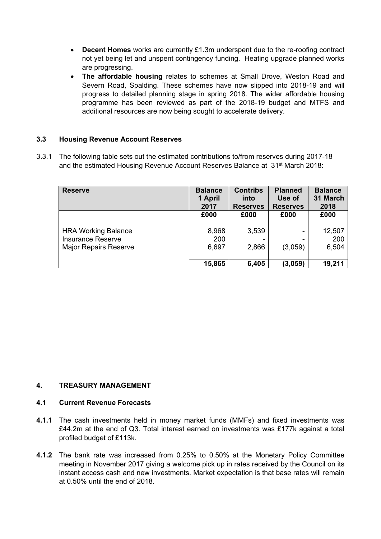- **Decent Homes** works are currently £1.3m underspent due to the re-roofing contract not yet being let and unspent contingency funding. Heating upgrade planned works are progressing.
- **The affordable housing** relates to schemes at Small Drove, Weston Road and Severn Road, Spalding. These schemes have now slipped into 2018-19 and will progress to detailed planning stage in spring 2018. The wider affordable housing programme has been reviewed as part of the 2018-19 budget and MTFS and additional resources are now being sought to accelerate delivery.

## **3.3 Housing Revenue Account Reserves**

3.3.1 The following table sets out the estimated contributions to/from reserves during 2017-18 and the estimated Housing Revenue Account Reserves Balance at 31st March 2018:

| <b>Reserve</b>                                                                         | <b>Balance</b><br>1 April<br>2017 | <b>Contribs</b><br>into<br><b>Reserves</b> | <b>Planned</b><br>Use of<br><b>Reserves</b> | <b>Balance</b><br>31 March<br>2018 |
|----------------------------------------------------------------------------------------|-----------------------------------|--------------------------------------------|---------------------------------------------|------------------------------------|
|                                                                                        | £000                              | £000                                       | £000                                        | £000                               |
| <b>HRA Working Balance</b><br><b>Insurance Reserve</b><br><b>Major Repairs Reserve</b> | 8,968<br>200<br>6,697             | 3,539<br>2,866                             | (3,059)                                     | 12,507<br>200<br>6,504             |
|                                                                                        | 15,865                            | 6,405                                      | (3,059)                                     | 19,211                             |

### **4. TREASURY MANAGEMENT**

### **4.1 Current Revenue Forecasts**

- **4.1.1** The cash investments held in money market funds (MMFs) and fixed investments was £44.2m at the end of Q3. Total interest earned on investments was £177k against a total profiled budget of £113k.
- **4.1.2** The bank rate was increased from 0.25% to 0.50% at the Monetary Policy Committee meeting in November 2017 giving a welcome pick up in rates received by the Council on its instant access cash and new investments. Market expectation is that base rates will remain at 0.50% until the end of 2018.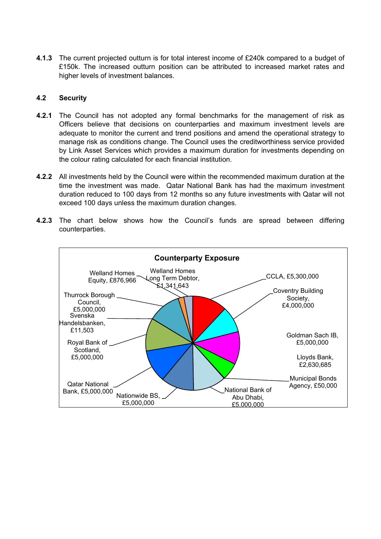**4.1.3** The current projected outturn is for total interest income of £240k compared to a budget of £150k. The increased outturn position can be attributed to increased market rates and higher levels of investment balances.

### **4.2 Security**

- **4.2.1** The Council has not adopted any formal benchmarks for the management of risk as Officers believe that decisions on counterparties and maximum investment levels are adequate to monitor the current and trend positions and amend the operational strategy to manage risk as conditions change. The Council uses the creditworthiness service provided by Link Asset Services which provides a maximum duration for investments depending on the colour rating calculated for each financial institution.
- **4.2.2** All investments held by the Council were within the recommended maximum duration at the time the investment was made. Qatar National Bank has had the maximum investment duration reduced to 100 days from 12 months so any future investments with Qatar will not exceed 100 days unless the maximum duration changes.
- **4.2.3** The chart below shows how the Council's funds are spread between differing counterparties.

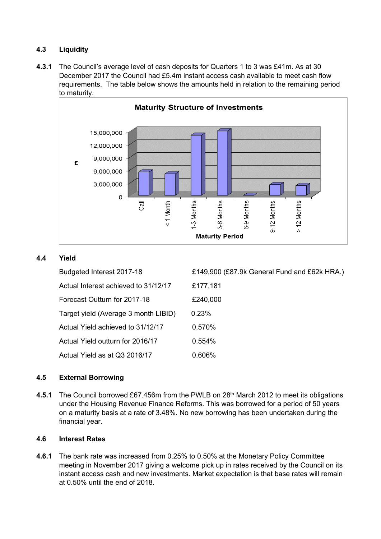# **4.3 Liquidity**

**4.3.1** The Council's average level of cash deposits for Quarters 1 to 3 was £41m. As at 30 December 2017 the Council had £5.4m instant access cash available to meet cash flow requirements. The table below shows the amounts held in relation to the remaining period to maturity.



# **4.4 Yield**

| Budgeted Interest 2017-18            | £149,900 (£87.9k General Fund and £62k HRA.) |
|--------------------------------------|----------------------------------------------|
| Actual Interest achieved to 31/12/17 | £177,181                                     |
| Forecast Outturn for 2017-18         | £240,000                                     |
| Target yield (Average 3 month LIBID) | 0.23%                                        |
| Actual Yield achieved to 31/12/17    | 0.570%                                       |
| Actual Yield outturn for 2016/17     | 0.554%                                       |
| Actual Yield as at Q3 2016/17        | 0.606%                                       |

# **4.5 External Borrowing**

4.5.1 The Council borrowed £67.456m from the PWLB on 28<sup>th</sup> March 2012 to meet its obligations under the Housing Revenue Finance Reforms. This was borrowed for a period of 50 years on a maturity basis at a rate of 3.48%. No new borrowing has been undertaken during the financial year.

### **4.6 Interest Rates**

**4.6.1** The bank rate was increased from 0.25% to 0.50% at the Monetary Policy Committee meeting in November 2017 giving a welcome pick up in rates received by the Council on its instant access cash and new investments. Market expectation is that base rates will remain at 0.50% until the end of 2018.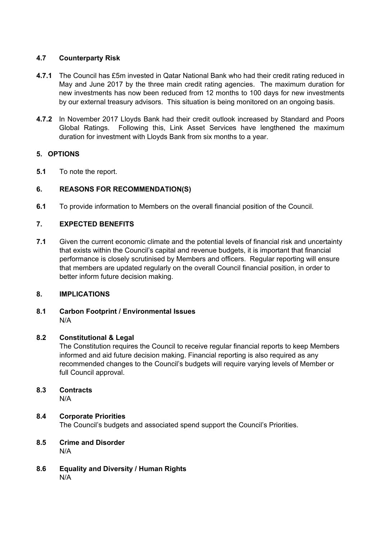# **4.7 Counterparty Risk**

- **4.7.1** The Council has £5m invested in Qatar National Bank who had their credit rating reduced in May and June 2017 by the three main credit rating agencies. The maximum duration for new investments has now been reduced from 12 months to 100 days for new investments by our external treasury advisors. This situation is being monitored on an ongoing basis.
- **4.7.2** In November 2017 Lloyds Bank had their credit outlook increased by Standard and Poors Global Ratings. Following this, Link Asset Services have lengthened the maximum duration for investment with Lloyds Bank from six months to a year.

# **5. OPTIONS**

**5.1** To note the report.

# **6. REASONS FOR RECOMMENDATION(S)**

**6.1** To provide information to Members on the overall financial position of the Council.

# **7. EXPECTED BENEFITS**

**7.1** Given the current economic climate and the potential levels of financial risk and uncertainty that exists within the Council's capital and revenue budgets, it is important that financial performance is closely scrutinised by Members and officers. Regular reporting will ensure that members are updated regularly on the overall Council financial position, in order to better inform future decision making.

# **8. IMPLICATIONS**

# **8.1 Carbon Footprint / Environmental Issues** N/A

# **8.2 Constitutional & Legal**

The Constitution requires the Council to receive regular financial reports to keep Members informed and aid future decision making. Financial reporting is also required as any recommended changes to the Council's budgets will require varying levels of Member or full Council approval.

# **8.3 Contracts**

N/A

# **8.4 Corporate Priorities**

The Council's budgets and associated spend support the Council's Priorities.

- **8.5 Crime and Disorder** N/A
- **8.6 Equality and Diversity / Human Rights** N/A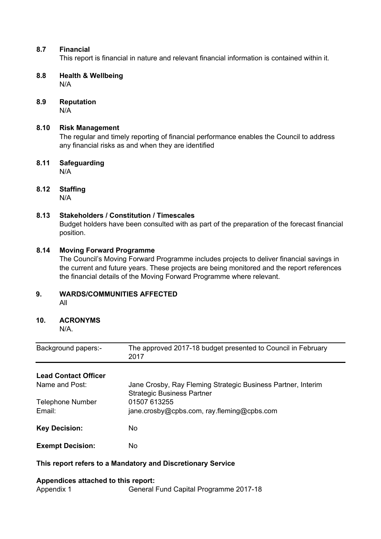### **8.7 Financial**

This report is financial in nature and relevant financial information is contained within it.

- **8.8 Health & Wellbeing** N/A
- **8.9 Reputation** N/A

### **8.10 Risk Management**

The regular and timely reporting of financial performance enables the Council to address any financial risks as and when they are identified

**8.11 Safeguarding** N/A

# **8.12 Staffing**

N/A

# **8.13 Stakeholders / Constitution / Timescales**

Budget holders have been consulted with as part of the preparation of the forecast financial position.

### **8.14 Moving Forward Programme**

The Council's Moving Forward Programme includes projects to deliver financial savings in the current and future years. These projects are being monitored and the report references the financial details of the Moving Forward Programme where relevant.

### **9. WARDS/COMMUNITIES AFFECTED**

All

# **10. ACRONYMS**

N/A.

| Background papers:- | The approved 2017-18 budget presented to Council in February |
|---------------------|--------------------------------------------------------------|
|                     | 2017                                                         |

# **Lead Contact Officer**

| Name and Post:                    | Jane Crosby, Ray Fleming Strategic Business Partner, Interim<br><b>Strategic Business Partner</b> |
|-----------------------------------|---------------------------------------------------------------------------------------------------|
| <b>Telephone Number</b><br>Email: | 01507 613255<br>jane.crosby@cpbs.com, ray.fleming@cpbs.com                                        |
| <b>Key Decision:</b>              | No.                                                                                               |
| <b>Exempt Decision:</b>           | No                                                                                                |

### **This report refers to a Mandatory and Discretionary Service**

#### **Appendices attached to this report:**

Appendix 1 General Fund Capital Programme 2017-18